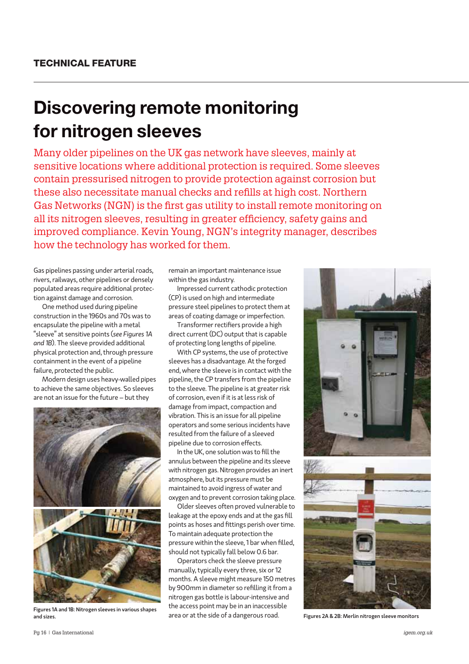## **Discovering remote monitoring for nitrogen sleeves**

Many older pipelines on the UK gas network have sleeves, mainly at sensitive locations where additional protection is required. Some sleeves contain pressurised nitrogen to provide protection against corrosion but these also necessitate manual checks and refills at high cost. Northern Gas Networks (NGN) is the first gas utility to install remote monitoring on all its nitrogen sleeves, resulting in greater efficiency, safety gains and improved compliance. Kevin Young, NGN's integrity manager, describes how the technology has worked for them.

Gas pipelines passing under arterial roads, rivers, railways, other pipelines or densely populated areas require additional protection against damage and corrosion.

One method used during pipeline construction in the 1960s and 70s was to encapsulate the pipeline with a metal "sleeve" at sensitive points (*see Figures 1A and 1B*). The sleeve provided additional physical protection and, through pressure containment in the event of a pipeline failure, protected the public.

Modern design uses heavy-walled pipes to achieve the same objectives. So sleeves are not an issue for the future – but they



Figures 1A and 1B: Nitrogen sleeves in various shapes

remain an important maintenance issue within the gas industry.

Impressed current cathodic protection (CP) is used on high and intermediate pressure steel pipelines to protect them at areas of coating damage or imperfection.

Transformer rectifiers provide a high direct current (DC) output that is capable of protecting long lengths of pipeline.

With CP systems, the use of protective sleeves has a disadvantage. At the forged end, where the sleeve is in contact with the pipeline, the CP transfers from the pipeline to the sleeve. The pipeline is at greater risk of corrosion, even if it is at less risk of damage from impact, compaction and vibration. This is an issue for all pipeline operators and some serious incidents have resulted from the failure of a sleeved pipeline due to corrosion effects.

In the UK, one solution was to fill the annulus between the pipeline and its sleeve with nitrogen gas. Nitrogen provides an inert atmosphere, but its pressure must be maintained to avoid ingress of water and oxygen and to prevent corrosion taking place.

Older sleeves often proved vulnerable to leakage at the epoxy ends and at the gas fill points as hoses and fittings perish over time. To maintain adequate protection the pressure within the sleeve, 1 bar when filled, should not typically fall below 0.6 bar.

Operators check the sleeve pressure manually, typically every three, six or 12 months. A sleeve might measure 150 metres by 900mm in diameter so refilling it from a nitrogen gas bottle is labour-intensive and the access point may be in an inaccessible area or at the side of a dangerous road. and sizes. Figures 2A & 2B: Merlin nitrogen sleeve monitors are a created by a real of a dangerous road. Figures 2A & 2B: Merlin nitrogen sleeve monitors